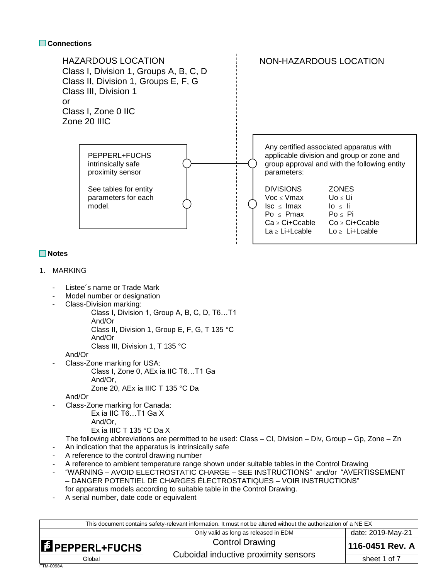#### **Connections**



### **Notes**

#### 1. MARKING

- Listee's name or Trade Mark
- Model number or designation
- Class-Division marking:
	- Class I, Division 1, Group A, B, C, D, T6…T1
	- And/Or
		- Class II, Division 1, Group E, F, G, T 135 °C
		- And/Or Class III, Division 1, T 135 °C

And/Or

- Class-Zone marking for USA:
	- Class I, Zone 0, AEx ia IIC T6…T1 Ga And/Or,
		- Zone 20, AEx ia IIIC T 135 °C Da

And/Or

- Class-Zone marking for Canada:
	- Ex ia IIC T6…T1 Ga X
		- And/Or,
	- Ex ia IIIC T 135 °C Da X

The following abbreviations are permitted to be used: Class – Cl, Division – Div, Group – Gp, Zone – Zn

- An indication that the apparatus is intrinsically safe
- A reference to the control drawing number
- A reference to ambient temperature range shown under suitable tables in the Control Drawing
- "WARNING AVOID ELECTROSTATIC CHARGE SEE INSTRUCTIONS" and/or "AVERTISSEMENT – DANGER POTENTIEL DE CHARGES ÉLECTROSTATIQUES – VOIR INSTRUCTIONS"
	- for apparatus models according to suitable table in the Control Drawing.
- A serial number, date code or equivalent

| This document contains safety-relevant information. It must not be altered without the authorization of a NE EX |                                       |                   |  |  |  |  |  |  |
|-----------------------------------------------------------------------------------------------------------------|---------------------------------------|-------------------|--|--|--|--|--|--|
|                                                                                                                 | Only valid as long as released in EDM | date: 2019-May-21 |  |  |  |  |  |  |
| EPEPPERL+FUCHS                                                                                                  | <b>Control Drawing</b>                | 116-0451 Rev. A   |  |  |  |  |  |  |
| Global                                                                                                          | Cuboidal inductive proximity sensors  | sheet 1 of 7      |  |  |  |  |  |  |
| FTM-0098A                                                                                                       |                                       |                   |  |  |  |  |  |  |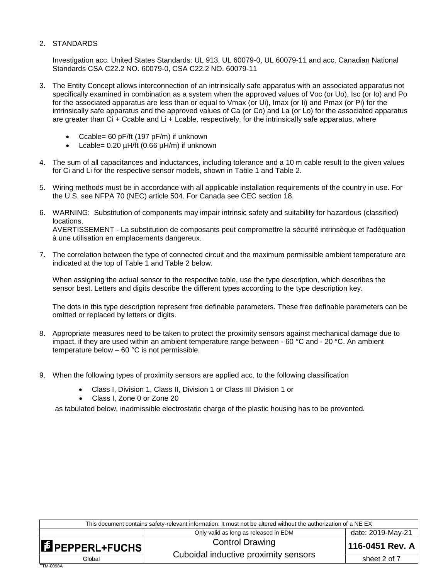#### 2. STANDARDS

Investigation acc. United States Standards: UL 913, UL 60079-0, UL 60079-11 and acc. Canadian National Standards CSA C22.2 NO. 60079-0, CSA C22.2 NO. 60079-11

- 3. The Entity Concept allows interconnection of an intrinsically safe apparatus with an associated apparatus not specifically examined in combination as a system when the approved values of Voc (or Uo), Isc (or Io) and Po for the associated apparatus are less than or equal to Vmax (or Ui), Imax (or Ii) and Pmax (or Pi) for the intrinsically safe apparatus and the approved values of Ca (or Co) and La (or Lo) for the associated apparatus are greater than Ci + Ccable and Li + Lcable, respectively, for the intrinsically safe apparatus, where
	- Ccable= 60 pF/ft (197 pF/m) if unknown
	- Lcable=  $0.20 \mu H/tt$  (0.66  $\mu H/m$ ) if unknown
- 4. The sum of all capacitances and inductances, including tolerance and a 10 m cable result to the given values for Ci and Li for the respective sensor models, shown in Table 1 and Table 2.
- 5. Wiring methods must be in accordance with all applicable installation requirements of the country in use. For the U.S. see NFPA 70 (NEC) article 504. For Canada see CEC section 18.
- 6. WARNING: Substitution of components may impair intrinsic safety and suitability for hazardous (classified) locations. AVERTISSEMENT - La substitution de composants peut compromettre la sécurité intrinsèque et l'adéquation à une utilisation en emplacements dangereux.
- 7. The correlation between the type of connected circuit and the maximum permissible ambient temperature are indicated at the top of Table 1 and Table 2 below.

When assigning the actual sensor to the respective table, use the type description, which describes the sensor best. Letters and digits describe the different types according to the type description key.

The dots in this type description represent free definable parameters. These free definable parameters can be omitted or replaced by letters or digits.

- 8. Appropriate measures need to be taken to protect the proximity sensors against mechanical damage due to impact, if they are used within an ambient temperature range between - 60 °C and - 20 °C. An ambient temperature below  $-60$  °C is not permissible.
- 9. When the following types of proximity sensors are applied acc. to the following classification
	- Class I, Division 1, Class II, Division 1 or Class III Division 1 or
	- Class I, Zone 0 or Zone 20

as tabulated below, inadmissible electrostatic charge of the plastic housing has to be prevented.

| This document contains safety-relevant information. It must not be altered without the authorization of a NE EX |                                                                |                   |  |  |  |  |  |  |  |
|-----------------------------------------------------------------------------------------------------------------|----------------------------------------------------------------|-------------------|--|--|--|--|--|--|--|
|                                                                                                                 | Only valid as long as released in EDM                          | date: 2019-May-21 |  |  |  |  |  |  |  |
| <b>E</b> PEPPERL+FUCHS                                                                                          | <b>Control Drawing</b><br>Cuboidal inductive proximity sensors | 116-0451 Rev. A   |  |  |  |  |  |  |  |
| Global                                                                                                          |                                                                | sheet 2 of 7      |  |  |  |  |  |  |  |
| FTM-0098A                                                                                                       |                                                                |                   |  |  |  |  |  |  |  |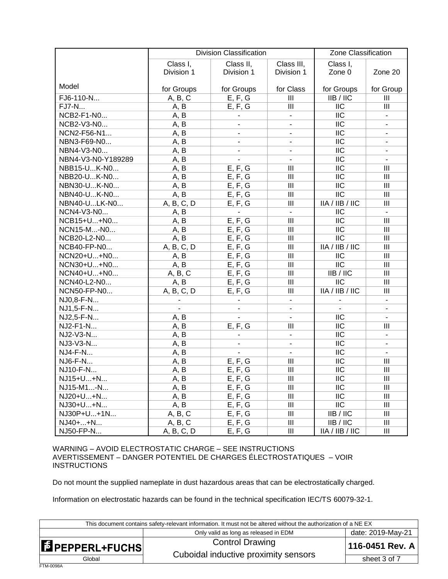|                    | <b>Division Classification</b> | Zone Classification |                                    |                           |                          |
|--------------------|--------------------------------|---------------------|------------------------------------|---------------------------|--------------------------|
|                    | Class I,                       | Class II,           | Class I,                           |                           |                          |
|                    | Division 1                     | Division 1          | Class III,<br>Division 1           | Zone 0                    | Zone 20                  |
|                    |                                |                     |                                    |                           |                          |
| Model              | for Groups                     | for Groups          | for Class                          | for Groups                | for Group                |
| FJ6-110-N          | A, B, C                        | E, F, G             | III                                | IIB/IC                    | III                      |
| <b>FJ7-N</b>       | A, B                           | E, F, G             | III                                | $\overline{\text{IIC}}$   | III                      |
| NCB2-F1-N0         | A, B                           |                     | $\blacksquare$                     | $\overline{\text{IIC}}$   | $\blacksquare$           |
| NCB2-V3-N0         | A, B                           | $\overline{a}$      | $\overline{a}$                     | $\overline{\text{IIC}}$   | $\blacksquare$           |
| NCN2-F56-N1        | A, B                           |                     | $\blacksquare$                     | $\overline{\text{IIC}}$   | $\blacksquare$           |
| NBN3-F69-N0        | A, B                           |                     |                                    | $\overline{\text{IIC}}$   | $\blacksquare$           |
| NBN4-V3-N0         | A, B                           | L.                  |                                    | $\overline{\text{IIC}}$   | $\blacksquare$           |
| NBN4-V3-N0-Y189289 | A, B                           |                     | $\overline{\phantom{a}}$           | $\overline{\text{IIC}}$   | $\blacksquare$           |
| NBB15-UK-N0        | A, B                           | E, F, G             | $\overline{\mathbf{III}}$          | $\overline{\text{IIC}}$   | III                      |
| NBB20-UK-N0        | A, B                           | E, F, G             | $\mathbf{III}$                     | $\overline{\text{IIC}}$   | $\mathbf{III}$           |
| NBN30-UK-N0        | A, B                           | E, F, G             | $\mathbf{III}$                     | $\overline{\mathsf{IIC}}$ | $\mathbf{III}$           |
| NBN40-UK-N0        | A, B                           | E, F, G             | $\mathbf{III}$                     | $\overline{\mathsf{IIC}}$ | $\mathbf{III}$           |
| NBN40-ULK-N0       | A, B, C, D                     | E, F, G             | $\mathbf{III}$                     | IIA / IIB / IIC           | $\mathbf{III}$           |
| NCN4-V3-N0         | A, B                           |                     | $\blacksquare$                     | <b>IIC</b>                | $\overline{a}$           |
| NCB15+U+N0         | A, B                           | E, F, G             | $\mathsf{III}$                     | <b>IIC</b>                | III                      |
| NCN15-M-N0         | A, B                           | E, F, G             | $\mathbf{III}$                     | <b>IIC</b>                | $\mathbf{III}$           |
| NCB20-L2-N0        | A, B                           | E, F, G             | $\mathbf{III}$                     | <b>IIC</b>                | $\mathbf{III}$           |
| NCB40-FP-N0        | A, B, C, D                     | E, F, G             | III                                | IIA/IIB/IIC               | $\mathbf{III}$           |
| NCN20+U+N0         | A, B                           | E, F, G             | $\mathbf{III}$                     | <b>IIC</b>                | $\mathbf{III}$           |
| NCN30+U+N0         | A, B                           | E, F, G             | $\mathbf{III}$                     | <b>IIC</b>                | $\mathbf{III}$           |
| NCN40+U+N0         | A, B, C                        | E, F, G             | III                                | IIB / IIC                 | $\mathbf{III}$           |
| NCN40-L2-N0        | A, B                           | E, F, G             | $\mathbf{III}$                     | $\overline{\mathsf{IIC}}$ | $\mathbf{III}$           |
| <b>NCN50-FP-N0</b> | A, B, C, D                     | E, F, G             | $\mathbf{III}$                     | IIA/IIB/IIC               | $\mathbf{III}$           |
| NJ0,8-F-N          |                                |                     | $\blacksquare$                     |                           | $\blacksquare$           |
| NJ1,5-F-N          | $\overline{a}$                 |                     |                                    |                           | $\blacksquare$           |
| NJ2,5-F-N          | A, B                           |                     |                                    | <b>IIC</b>                |                          |
| NJ2-F1-N           | A, B                           | E, F, G             | $\mathsf{III}$                     | <b>IIC</b>                | Ш                        |
| NJ2-V3-N           | A, B                           |                     | $\blacksquare$                     | <b>IIC</b>                | $\overline{\phantom{a}}$ |
| NJ3-V3-N           | A, B                           | $\overline{a}$      | $\overline{a}$                     | <b>IIC</b>                | $\overline{\phantom{a}}$ |
| NJ4-F-N            | A, B                           |                     |                                    | <b>IIC</b>                |                          |
| NJ6-F-N            | A, B                           | E, F, G             | $\mathsf{III}$                     | <b>IIC</b>                | III                      |
| NJ10-F-N           | A, B                           | E, F, G             | $\mathbf{III}$                     | <b>IIC</b>                | $\mathbf{III}$           |
| NJ15+U+N           | A, B                           | E, F, G             | Ш                                  | <b>IIC</b>                | $\mathbf{III}$           |
| NJ15-M1-N          | A, B                           | E, F, G             | $\mathbf{III}$                     | <b>IIC</b>                | Ш                        |
| NJ20+U+N           | A, B                           | E, F, G             | $\ensuremath{\mathsf{III}}\xspace$ | <b>IIC</b>                | Ш                        |
| NJ30+U+N           | A, B                           | E, F, G             | $\ensuremath{\mathsf{III}}\xspace$ | $\overline{\mathsf{IIC}}$ | $\mathbf{III}$           |
| NJ30P+U+1N         | A, B, C                        | E, F, G             | $\ensuremath{\mathsf{III}}\xspace$ | IIB / IIC                 | $\mathbf{III}$           |
| NJ40++N            | A, B, C                        | E, F, G             | Ш                                  | IIB / IIC                 | Ш                        |
| NJ50-FP-N          | A, B, C, D                     | E, F, G             | Ш                                  | IIA / IIB / IIC           | Ш                        |

WARNING – AVOID ELECTROSTATIC CHARGE – SEE INSTRUCTIONS AVERTISSEMENT – DANGER POTENTIEL DE CHARGES ÉLECTROSTATIQUES – VOIR **INSTRUCTIONS** 

Do not mount the supplied nameplate in dust hazardous areas that can be electrostatically charged.

Information on electrostatic hazards can be found in the technical specification IEC/TS 60079-32-1.

| This document contains safety-relevant information. It must not be altered without the authorization of a NE EX |                                       |                   |  |  |  |  |  |  |  |
|-----------------------------------------------------------------------------------------------------------------|---------------------------------------|-------------------|--|--|--|--|--|--|--|
|                                                                                                                 | Only valid as long as released in EDM | date: 2019-May-21 |  |  |  |  |  |  |  |
| EPEPPERL+FUCHS                                                                                                  | <b>Control Drawing</b>                | 116-0451 Rev. A   |  |  |  |  |  |  |  |
| Global                                                                                                          | Cuboidal inductive proximity sensors  | sheet 3 of 7      |  |  |  |  |  |  |  |
| FTM-0098A                                                                                                       |                                       |                   |  |  |  |  |  |  |  |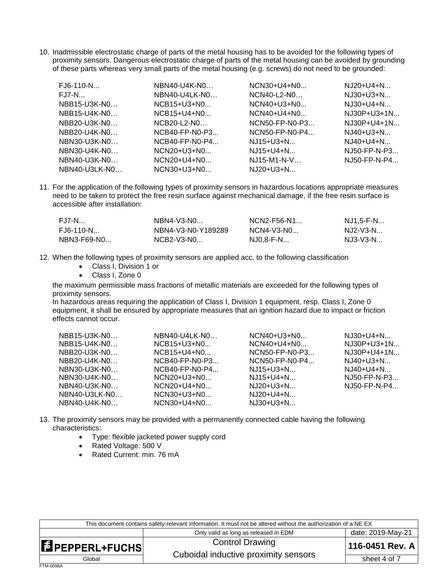10. Inadmissible electrostatic charge of parts of the metal housing has to be avoided for the following types of proximity sensors. Dangerous electrostatic charge of parts of the metal housing can be avoided by grounding of these parts whereas very small parts of the metal housing (e.g. screws) do not need to be grounded:

| $FJ6-110-N$   | NBN40-U4K-N0     | $NCN30+U4+N0$    | $NJ20+U4+N$    |
|---------------|------------------|------------------|----------------|
| $FJ7-N$       | $NBN40-U4LK-N0$  | $NCN40-L2-N0$    | $NJ30+U3+N$    |
| NBB15-U3K-N0  | $NCB15+U3+N0$    | NCN40+U3+N0      | $NJ30+U4+N$    |
| NBB15-U4K-N0  | $NCB15+U4+N0$    | $NCN40+U4+N0$    | $NJ30P+U3+1N$  |
| NBB20-U3K-N0  | $NCB20-L2-N0$    | $NCN50-FP-N0-P3$ | $NJ30P+U4+1N$  |
| NBB20-U4K-N0  | $NCB40-FP-N0-P3$ | $NCN50-FP-N0-P4$ | $NJ40+U3+N$    |
| NBN30-U3K-N0  | $NCB40-FP-N0-P4$ | $NJ15+U3+N$      | $NJ40+U4+N$    |
| NBN30-U4K-N0  | $NCN20+U3+N0$    | $NJ15+U4+N$      | NJ50-FP-N-P3   |
| NBN40-U3K-N0  | $NCN20+U4+N0$    | $NJ15-M1-N-V$    | $NJ50-FP-N-P4$ |
| NBN40-U3LK-N0 | $NCN30+U3+N0$    | $NJ20+U3+N$      |                |

11. For the application of the following types of proximity sensors in hazardous locations appropriate measures need to be taken to protect the free resin surface against mechanical damage, if the free resin surface is accessible after installation:

| FJ7-N       | $NBN4-V3-N0$       | $NCN2-F56-N1$ | NJ1.5-F-N  |
|-------------|--------------------|---------------|------------|
| FJ6-110-N   | NBN4-V3-N0-Y189289 | $NCN4-V3-N0$  | NJ2-V3-N   |
| NBN3-F69-N0 | $NCB2-V3-N0$       | NJ0.8-F-N     | $NJ3-V3-N$ |

- 12. When the following types of proximity sensors are applied acc. to the following classification
	- Class I, Division 1 or
	- Class I, Zone 0

the maximum permissible mass fractions of metallic materials are exceeded for the following types of proximity sensors.

In hazardous areas requiring the application of Class I, Division 1 equipment, resp. Class I, Zone 0 equipment, it shall be ensured by appropriate measures that an ignition hazard due to impact or friction effects cannot occur.

| NBB15-U3K-N0  | NBN40-U4LK-N0    | $NCN40+U3+N0$    | $NJ30+U4+N$    |
|---------------|------------------|------------------|----------------|
| NBB15-U4K-N0  | $NCB15+U3+N0$    | $NCN40+U4+N0$    | $NJ30P+U3+1N$  |
| NBB20-U3K-N0  | $NCB15+U4+N0$    | NCN50-FP-N0-P3   | $NJ30P+U4+1N$  |
| NBB20-U4K-N0  | $NCB40-FP-N0-P3$ | $NCN50-FP-N0-P4$ | $NJ40+U3+N$    |
| NBN30-U3K-N0  | $NCB40-FP-N0-P4$ | NJ15+U3+N        | $NJ40+U4+N$    |
| NBN30-U4K-N0  | $NCN20+U3+N0$    | NJ15+U4+N        | NJ50-FP-N-P3   |
| NBN40-U3K-N0  | $NCN20+U4+N0$    | NJ20+U3+N        | $NJ50-FP-N-P4$ |
| NBN40-U3LK-N0 | NCN30+U3+N0      | $NJ20+U4+N$      |                |
| NBN40-U4K-N0  | $NCN30+U4+N0$    | $NJ30+U3+N$      |                |

- 13. The proximity sensors may be provided with a permanently connected cable having the following characteristics:
	- Type: flexible jacketed power supply cord
	- Rated Voltage: 500 V
	- Rated Current: min. 76 mA

| This document contains safety-relevant information. It must not be altered without the authorization of a NE EX |                                                                |                   |  |  |  |  |  |  |  |
|-----------------------------------------------------------------------------------------------------------------|----------------------------------------------------------------|-------------------|--|--|--|--|--|--|--|
|                                                                                                                 | Only valid as long as released in EDM                          | date: 2019-May-21 |  |  |  |  |  |  |  |
| $\blacksquare$ PEPPERL+FUCHS                                                                                    | <b>Control Drawing</b><br>Cuboidal inductive proximity sensors | 116-0451 Rev. A   |  |  |  |  |  |  |  |
| Global                                                                                                          |                                                                | sheet 4 of 7      |  |  |  |  |  |  |  |
| FTM-0098A                                                                                                       |                                                                |                   |  |  |  |  |  |  |  |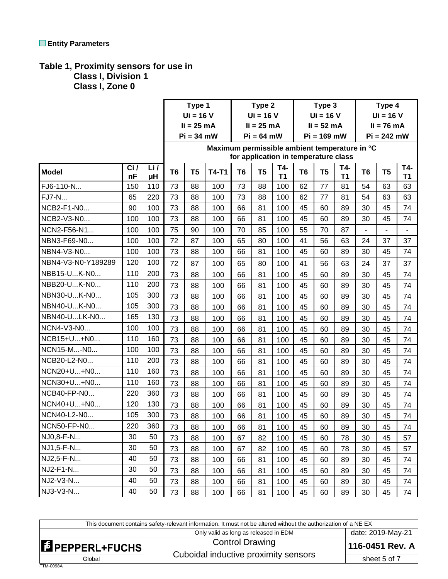# **Table 1, Proximity sensors for use in**

 **Class I, Division 1 Class I, Zone 0**

|                    |     |     | Type 1         |                | Type 2                                        |                | Type 3         |                                      |                | Type 4         |     |                |                |           |
|--------------------|-----|-----|----------------|----------------|-----------------------------------------------|----------------|----------------|--------------------------------------|----------------|----------------|-----|----------------|----------------|-----------|
|                    |     |     | $Ui = 16 V$    |                |                                               | $Ui = 16 V$    |                |                                      | $Ui = 16 V$    |                |     | $Ui = 16 V$    |                |           |
|                    |     |     | $li = 25 mA$   |                |                                               | $li = 25 mA$   |                |                                      | $li = 52 mA$   |                |     | $li = 76 mA$   |                |           |
|                    |     |     |                | $Pi = 34$ mW   |                                               |                | $Pi = 64$ mW   |                                      |                | $Pi = 169$ mW  |     |                | $Pi = 242$ mW  |           |
|                    |     |     |                |                | Maximum permissible ambient temperature in °C |                |                | for application in temperature class |                |                |     |                |                |           |
|                    | Ci/ | Li/ |                |                |                                               |                |                | T4-                                  |                |                | T4- |                |                | T4-       |
| <b>Model</b>       | nF  | μH  | T <sub>6</sub> | T <sub>5</sub> | <b>T4-T1</b>                                  | T <sub>6</sub> | T <sub>5</sub> | T <sub>1</sub>                       | T <sub>6</sub> | T <sub>5</sub> | T1  | T <sub>6</sub> | T <sub>5</sub> | <b>T1</b> |
| FJ6-110-N          | 150 | 110 | 73             | 88             | 100                                           | 73             | 88             | 100                                  | 62             | 77             | 81  | 54             | 63             | 63        |
| <b>FJ7-N</b>       | 65  | 220 | 73             | 88             | 100                                           | 73             | 88             | 100                                  | 62             | 77             | 81  | 54             | 63             | 63        |
| NCB2-F1-N0         | 90  | 100 | 73             | 88             | 100                                           | 66             | 81             | 100                                  | 45             | 60             | 89  | 30             | 45             | 74        |
| NCB2-V3-N0         | 100 | 100 | 73             | 88             | 100                                           | 66             | 81             | 100                                  | 45             | 60             | 89  | 30             | 45             | 74        |
| NCN2-F56-N1        | 100 | 100 | 75             | 90             | 100                                           | 70             | 85             | 100                                  | 55             | 70             | 87  | $\overline{a}$ | $\overline{a}$ |           |
| NBN3-F69-N0        | 100 | 100 | 72             | 87             | 100                                           | 65             | 80             | 100                                  | 41             | 56             | 63  | 24             | 37             | 37        |
| NBN4-V3-N0         | 100 | 100 | 73             | 88             | 100                                           | 66             | 81             | 100                                  | 45             | 60             | 89  | 30             | 45             | 74        |
| NBN4-V3-N0-Y189289 | 120 | 100 | 72             | 87             | 100                                           | 65             | 80             | 100                                  | 41             | 56             | 63  | 24             | 37             | 37        |
| NBB15-UK-N0        | 110 | 200 | 73             | 88             | 100                                           | 66             | 81             | 100                                  | 45             | 60             | 89  | 30             | 45             | 74        |
| NBB20-UK-N0        | 110 | 200 | 73             | 88             | 100                                           | 66             | 81             | 100                                  | 45             | 60             | 89  | 30             | 45             | 74        |
| NBN30-UK-N0        | 105 | 300 | 73             | 88             | 100                                           | 66             | 81             | 100                                  | 45             | 60             | 89  | 30             | 45             | 74        |
| NBN40-UK-N0        | 105 | 300 | 73             | 88             | 100                                           | 66             | 81             | 100                                  | 45             | 60             | 89  | 30             | 45             | 74        |
| NBN40-ULK-N0       | 165 | 130 | 73             | 88             | 100                                           | 66             | 81             | 100                                  | 45             | 60             | 89  | 30             | 45             | 74        |
| NCN4-V3-N0         | 100 | 100 | 73             | 88             | 100                                           | 66             | 81             | 100                                  | 45             | 60             | 89  | 30             | 45             | 74        |
| NCB15+U+N0         | 110 | 160 | 73             | 88             | 100                                           | 66             | 81             | 100                                  | 45             | 60             | 89  | 30             | 45             | 74        |
| NCN15-M-N0         | 100 | 100 | 73             | 88             | 100                                           | 66             | 81             | 100                                  | 45             | 60             | 89  | 30             | 45             | 74        |
| NCB20-L2-N0        | 110 | 200 | 73             | 88             | 100                                           | 66             | 81             | 100                                  | 45             | 60             | 89  | 30             | 45             | 74        |
| NCN20+U+N0         | 110 | 160 | 73             | 88             | 100                                           | 66             | 81             | 100                                  | 45             | 60             | 89  | 30             | 45             | 74        |
| NCN30+U+N0         | 110 | 160 | 73             | 88             | 100                                           | 66             | 81             | 100                                  | 45             | 60             | 89  | 30             | 45             | 74        |
| NCB40-FP-N0        | 220 | 360 | 73             | 88             | 100                                           | 66             | 81             | 100                                  | 45             | 60             | 89  | 30             | 45             | 74        |
| NCN40+U+N0         | 120 | 130 | 73             | 88             | 100                                           | 66             | 81             | 100                                  | 45             | 60             | 89  | 30             | 45             | 74        |
| NCN40-L2-N0        | 105 | 300 | 73             | 88             | 100                                           | 66             | 81             | 100                                  | 45             | 60             | 89  | 30             | 45             | 74        |
| NCN50-FP-N0        | 220 | 360 | 73             | 88             | 100                                           | 66             | 81             | 100                                  | 45             | 60             | 89  | 30             | 45             | 74        |
| NJ0,8-F-N          | 30  | 50  | 73             | 88             | 100                                           | 67             | 82             | 100                                  | 45             | 60             | 78  | 30             | 45             | 57        |
| NJ1,5-F-N          | 30  | 50  | 73             | 88             | 100                                           | 67             | 82             | 100                                  | 45             | 60             | 78  | 30             | 45             | 57        |
| NJ2,5-F-N          | 40  | 50  | 73             | 88             | 100                                           | 66             | 81             | 100                                  | 45             | 60             | 89  | 30             | 45             | 74        |
| NJ2-F1-N           | 30  | 50  | 73             | 88             | 100                                           | 66             | 81             | 100                                  | 45             | 60             | 89  | 30             | 45             | 74        |
| NJ2-V3-N           | 40  | 50  | 73             | 88             | 100                                           | 66             | 81             | 100                                  | 45             | 60             | 89  | 30             | 45             | 74        |
| NJ3-V3-N           | 40  | 50  | 73             | 88             | 100                                           | 66             | 81             | 100                                  | 45             | 60             | 89  | 30             | 45             | 74        |

| This document contains safety-relevant information. It must not be altered without the authorization of a NE EX |                                       |                   |  |  |  |  |  |  |
|-----------------------------------------------------------------------------------------------------------------|---------------------------------------|-------------------|--|--|--|--|--|--|
|                                                                                                                 | Only valid as long as released in EDM | date: 2019-May-21 |  |  |  |  |  |  |
| <b>E</b> PEPPERL+FUCHS                                                                                          | <b>Control Drawing</b>                | 116-0451 Rev. A   |  |  |  |  |  |  |
| Global                                                                                                          | Cuboidal inductive proximity sensors  | sheet 5 of 7      |  |  |  |  |  |  |
| <b>FTM-0098A</b>                                                                                                |                                       |                   |  |  |  |  |  |  |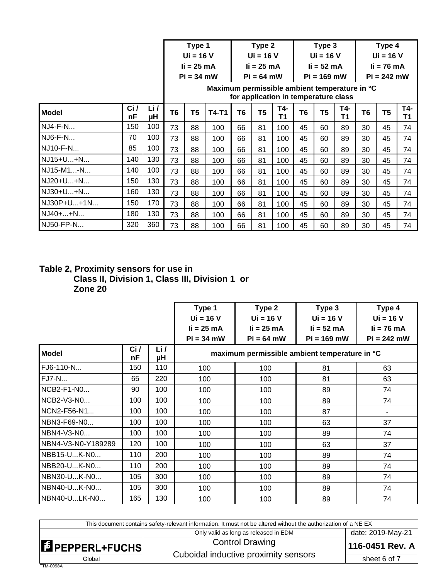|                |           |           |                | Type 1<br>$Ui = 16 V$                                                                 |       |    | Type 2<br>$Ui = 16 V$        |           |                               | Type 3<br>$Ui = 16 V$ |           |                                        | Type 4<br>$Ui = 16 V$ |           |
|----------------|-----------|-----------|----------------|---------------------------------------------------------------------------------------|-------|----|------------------------------|-----------|-------------------------------|-----------------------|-----------|----------------------------------------|-----------------------|-----------|
|                |           |           |                | $li = 25 mA$<br>$Pi = 34$ mW                                                          |       |    | $li = 25 mA$<br>$Pi = 64$ mW |           | $li = 52 mA$<br>$Pi = 169$ mW |                       |           | $\mathbf{li}$ = 76 mA<br>$Pi = 242$ mW |                       |           |
|                |           |           |                | Maximum permissible ambient temperature in °C<br>for application in temperature class |       |    |                              |           |                               |                       |           |                                        |                       |           |
| <b>Model</b>   | Ci/<br>nF | Li/<br>μH | T <sub>6</sub> | T5                                                                                    | T4-T1 | T6 | T5                           | T4-<br>Τ1 | T6                            | T5                    | T4-<br>T1 | T6                                     | T <sub>5</sub>        | T4-<br>Τ1 |
| <b>NJ4-F-N</b> | 150       | 100       | 73             | 88                                                                                    | 100   | 66 | 81                           | 100       | 45                            | 60                    | 89        | 30                                     | 45                    | 74        |
| NJ6-F-N        | 70        | 100       | 73             | 88                                                                                    | 100   | 66 | 81                           | 100       | 45                            | 60                    | 89        | 30                                     | 45                    | 74        |
| NJ10-F-N       | 85        | 100       | 73             | 88                                                                                    | 100   | 66 | 81                           | 100       | 45                            | 60                    | 89        | 30                                     | 45                    | 74        |
| NJ15+U+N       | 140       | 130       | 73             | 88                                                                                    | 100   | 66 | 81                           | 100       | 45                            | 60                    | 89        | 30                                     | 45                    | 74        |
| NJ15-M1-N      | 140       | 100       | 73             | 88                                                                                    | 100   | 66 | 81                           | 100       | 45                            | 60                    | 89        | 30                                     | 45                    | 74        |
| NJ20+U+N       | 150       | 130       | 73             | 88                                                                                    | 100   | 66 | 81                           | 100       | 45                            | 60                    | 89        | 30                                     | 45                    | 74        |
| NJ30+U+N       | 160       | 130       | 73             | 88                                                                                    | 100   | 66 | 81                           | 100       | 45                            | 60                    | 89        | 30                                     | 45                    | 74        |
| NJ30P+U+1N     | 150       | 170       | 73             | 88                                                                                    | 100   | 66 | 81                           | 100       | 45                            | 60                    | 89        | 30                                     | 45                    | 74        |
| NJ40++N        | 180       | 130       | 73             | 88                                                                                    | 100   | 66 | 81                           | 100       | 45                            | 60                    | 89        | 30                                     | 45                    | 74        |
| NJ50-FP-N      | 320       | 360       | 73             | 88                                                                                    | 100   | 66 | 81                           | 100       | 45                            | 60                    | 89        | 30                                     | 45                    | 74        |

## **Table 2, Proximity sensors for use in Class II, Division 1, Class III, Division 1 or Zone 20**

|                    |           | Type 1<br>$Ui = 16 V$ | Type 2<br>$Ui = 16 V$                         | Type 3<br>$Ui = 16 V$          | Type 4<br>$Ui = 16 V$ |               |  |  |  |
|--------------------|-----------|-----------------------|-----------------------------------------------|--------------------------------|-----------------------|---------------|--|--|--|
|                    |           |                       | $li = 25 mA$                                  | $\mathbf{li} = 25 \mathbf{mA}$ | $li = 52 mA$          | $li = 76 mA$  |  |  |  |
|                    |           |                       | $Pi = 34$ mW                                  | $Pi = 64$ mW                   | $Pi = 169$ mW         | $Pi = 242$ mW |  |  |  |
| <b>Model</b>       | Ci/<br>nF | Li/<br>μH             | maximum permissible ambient temperature in °C |                                |                       |               |  |  |  |
| FJ6-110-N          | 150       | 110                   | 100                                           | 100                            | 81                    | 63            |  |  |  |
| <b>FJ7-N</b>       | 65        | 220                   | 100                                           | 100                            | 81                    | 63            |  |  |  |
| NCB2-F1-N0         | 90        | 100                   | 100                                           | 100                            | 89                    | 74            |  |  |  |
| NCB2-V3-N0         | 100       | 100                   | 100                                           | 100                            | 89                    | 74            |  |  |  |
| NCN2-F56-N1        | 100       | 100                   | 100                                           | 100                            | 87                    |               |  |  |  |
| NBN3-F69-N0        | 100       | 100                   | 100                                           | 100                            | 63                    | 37            |  |  |  |
| NBN4-V3-N0         | 100       | 100                   | 100                                           | 100                            | 89                    | 74            |  |  |  |
| NBN4-V3-N0-Y189289 | 120       | 100                   | 100                                           | 100                            | 63                    | 37            |  |  |  |
| NBB15-UK-N0        | 110       | 200                   | 100                                           | 100                            | 89                    | 74            |  |  |  |
| NBB20-UK-N0        | 110       | 200                   | 100                                           | 100                            | 89                    | 74            |  |  |  |
| NBN30-UK-N0        | 105       | 300                   | 100                                           | 100                            | 89                    | 74            |  |  |  |
| NBN40-UK-N0        | 105       | 300                   | 100                                           | 100                            | 89                    | 74            |  |  |  |
| NBN40-ULK-N0       | 165       | 130                   | 100                                           | 100                            | 89                    | 74            |  |  |  |

| This document contains safety-relevant information. It must not be altered without the authorization of a NE EX |                                       |                   |  |  |  |  |
|-----------------------------------------------------------------------------------------------------------------|---------------------------------------|-------------------|--|--|--|--|
|                                                                                                                 | Only valid as long as released in EDM | date: 2019-May-21 |  |  |  |  |
| <b>E</b> PEPPERL+FUCHS                                                                                          | <b>Control Drawing</b>                | 116-0451 Rev. A   |  |  |  |  |
| Global                                                                                                          | Cuboidal inductive proximity sensors  | sheet 6 of 7      |  |  |  |  |
| FTM-0098A                                                                                                       |                                       |                   |  |  |  |  |